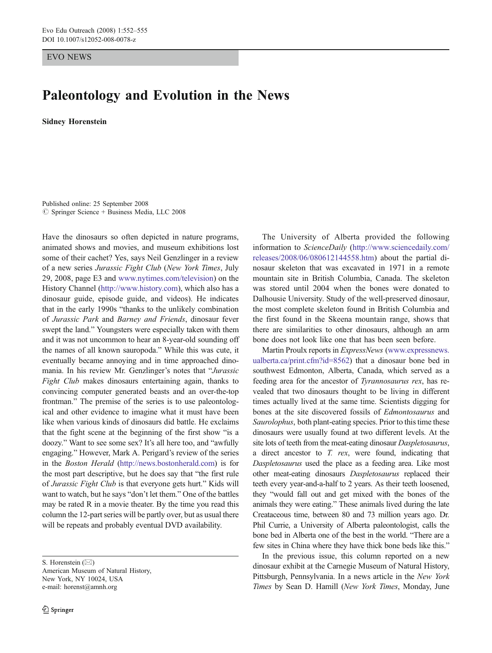EVO NEWS

## Paleontology and Evolution in the News

Sidney Horenstein

Published online: 25 September 2008  $\circ$  Springer Science + Business Media, LLC 2008

Have the dinosaurs so often depicted in nature programs, animated shows and movies, and museum exhibitions lost some of their cachet? Yes, says Neil Genzlinger in a review of a new series Jurassic Fight Club (New York Times, July 29, 2008, page E3 and [www.nytimes.com/television\)](http://www.nytimes.com/television) on the History Channel [\(http://www.history.com](http://www.history.com)), which also has a dinosaur guide, episode guide, and videos). He indicates that in the early 1990s "thanks to the unlikely combination of Jurassic Park and Barney and Friends, dinosaur fever swept the land." Youngsters were especially taken with them and it was not uncommon to hear an 8-year-old sounding off the names of all known sauropoda." While this was cute, it eventually became annoying and in time approached dinomania. In his review Mr. Genzlinger's notes that "Jurassic Fight Club makes dinosaurs entertaining again, thanks to convincing computer generated beasts and an over-the-top frontman." The premise of the series is to use paleontological and other evidence to imagine what it must have been like when various kinds of dinosaurs did battle. He exclaims that the fight scene at the beginning of the first show "is a doozy." Want to see some sex? It's all here too, and "awfully engaging." However, Mark A. Perigard's review of the series in the Boston Herald [\(http://news.bostonherald.com\)](http://news.bostonherald.com) is for the most part descriptive, but he does say that "the first rule of Jurassic Fight Club is that everyone gets hurt." Kids will want to watch, but he says "don't let them." One of the battles may be rated R in a movie theater. By the time you read this column the 12-part series will be partly over, but as usual there will be repeats and probably eventual DVD availability.

S. Horenstein ( $\boxtimes$ )

American Museum of Natural History, New York, NY 10024, USA e-mail: horenst@amnh.org

The University of Alberta provided the following information to ScienceDaily ([http://www.sciencedaily.com/](http://www.sciencedaily.com/releases/2008/06/080612144558.htm) [releases/2008/06/080612144558.htm](http://www.sciencedaily.com/releases/2008/06/080612144558.htm)) about the partial dinosaur skeleton that was excavated in 1971 in a remote mountain site in British Columbia, Canada. The skeleton was stored until 2004 when the bones were donated to Dalhousie University. Study of the well-preserved dinosaur, the most complete skeleton found in British Columbia and the first found in the Skeena mountain range, shows that there are similarities to other dinosaurs, although an arm bone does not look like one that has been seen before.

Martin Proulx reports in *ExpressNews* ([www.expressnews.](http://www.expressnews.ualberta.ca/print.cfm?id=8562) [ualberta.ca/print.cfm?id=8562](http://www.expressnews.ualberta.ca/print.cfm?id=8562)) that a dinosaur bone bed in southwest Edmonton, Alberta, Canada, which served as a feeding area for the ancestor of Tyrannosaurus rex, has revealed that two dinosaurs thought to be living in different times actually lived at the same time. Scientists digging for bones at the site discovered fossils of Edmontosaurus and Saurolophus, both plant-eating species. Prior to this time these dinosaurs were usually found at two different levels. At the site lots of teeth from the meat-eating dinosaur Daspletosaurus, a direct ancestor to  $T.$  rex, were found, indicating that Daspletosaurus used the place as a feeding area. Like most other meat-eating dinosaurs Daspletosaurus replaced their teeth every year-and-a-half to 2 years. As their teeth loosened, they "would fall out and get mixed with the bones of the animals they were eating." These animals lived during the late Creataceous time, between 80 and 73 million years ago. Dr. Phil Currie, a University of Alberta paleontologist, calls the bone bed in Alberta one of the best in the world. "There are a few sites in China where they have thick bone beds like this."

In the previous issue, this column reported on a new dinosaur exhibit at the Carnegie Museum of Natural History, Pittsburgh, Pennsylvania. In a news article in the New York Times by Sean D. Hamill (New York Times, Monday, June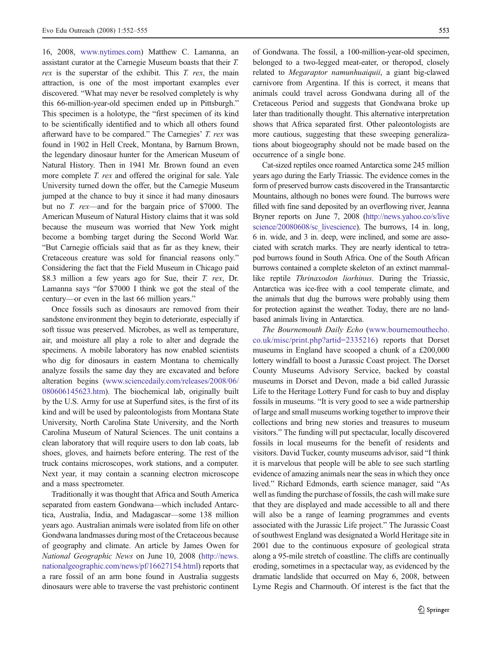16, 2008, [www.nytimes.com](http://www.nytimes.com)) Matthew C. Lamanna, an assistant curator at the Carnegie Museum boasts that their T. rex is the superstar of the exhibit. This T. rex, the main attraction, is one of the most important examples ever discovered. "What may never be resolved completely is why this 66-million-year-old specimen ended up in Pittsburgh." This specimen is a holotype, the "first specimen of its kind to be scientifically identified and to which all others found afterward have to be compared." The Carnegies' T. rex was found in 1902 in Hell Creek, Montana, by Barnum Brown, the legendary dinosaur hunter for the American Museum of Natural History. Then in 1941 Mr. Brown found an even more complete T. rex and offered the original for sale. Yale University turned down the offer, but the Carnegie Museum jumped at the chance to buy it since it had many dinosaurs but no T. rex—and for the bargain price of \$7000. The American Museum of Natural History claims that it was sold because the museum was worried that New York might become a bombing target during the Second World War. "But Carnegie officials said that as far as they knew, their Cretaceous creature was sold for financial reasons only." Considering the fact that the Field Museum in Chicago paid \$8.3 million a few years ago for Sue, their T. rex, Dr. Lamanna says "for \$7000 I think we got the steal of the century—or even in the last 66 million years."

Once fossils such as dinosaurs are removed from their sandstone environment they begin to deteriorate, especially if soft tissue was preserved. Microbes, as well as temperature, air, and moisture all play a role to alter and degrade the specimens. A mobile laboratory has now enabled scientists who dig for dinosaurs in eastern Montana to chemically analyze fossils the same day they are excavated and before alteration begins ([www.sciencedaily.com/releases/2008/06/](http://www.sciencedaily.com/releases/2008/06/080606145623.htm) [080606145623.htm](http://www.sciencedaily.com/releases/2008/06/080606145623.htm)). The biochemical lab, originally built by the U.S. Army for use at Superfund sites, is the first of its kind and will be used by paleontologists from Montana State University, North Carolina State University, and the North Carolina Museum of Natural Sciences. The unit contains a clean laboratory that will require users to don lab coats, lab shoes, gloves, and hairnets before entering. The rest of the truck contains microscopes, work stations, and a computer. Next year, it may contain a scanning electron microscope and a mass spectrometer.

Traditionally it was thought that Africa and South America separated from eastern Gondwana—which included Antarctica, Australia, India, and Madagascar—some 138 million years ago. Australian animals were isolated from life on other Gondwana landmasses during most of the Cretaceous because of geography and climate. An article by James Owen for National Geographic News on June 10, 2008 ([http://news.](http://news.nationalgeographic.com/news/pf/16627154.html) [nationalgeographic.com/news/pf/16627154.html\)](http://news.nationalgeographic.com/news/pf/16627154.html) reports that a rare fossil of an arm bone found in Australia suggests dinosaurs were able to traverse the vast prehistoric continent of Gondwana. The fossil, a 100-million-year-old specimen, belonged to a two-legged meat-eater, or theropod, closely related to Megaraptor namunhuaiquii, a giant big-clawed carnivore from Argentina. If this is correct, it means that animals could travel across Gondwana during all of the Cretaceous Period and suggests that Gondwana broke up later than traditionally thought. This alternative interpretation shows that Africa separated first. Other paleontologists are more cautious, suggesting that these sweeping generalizations about biogeography should not be made based on the occurrence of a single bone.

Cat-sized reptiles once roamed Antarctica some 245 million years ago during the Early Triassic. The evidence comes in the form of preserved burrow casts discovered in the Transantarctic Mountains, although no bones were found. The burrows were filled with fine sand deposited by an overflowing river, Jeanna Bryner reports on June 7, 2008 [\(http://news.yahoo.co/s/live](http://news.yahoo.co/s/livescience/20080608/sc_livescience) [science/20080608/sc\\_livescience](http://news.yahoo.co/s/livescience/20080608/sc_livescience)). The burrows, 14 in. long, 6 in. wide, and 3 in. deep, were inclined, and some are associated with scratch marks. They are nearly identical to tetrapod burrows found in South Africa. One of the South African burrows contained a complete skeleton of an extinct mammallike reptile Thrinaxodon liorhinus. During the Triassic, Antarctica was ice-free with a cool temperate climate, and the animals that dug the burrows were probably using them for protection against the weather. Today, there are no landbased animals living in Antarctica.

The Bournemouth Daily Echo ([www.bournemouthecho.](http://www.bournemouthecho.co.uk/misc/print.php?artid=2335216) [co.uk/misc/print.php?artid=2335216](http://www.bournemouthecho.co.uk/misc/print.php?artid=2335216)) reports that Dorset museums in England have scooped a chunk of a £200,000 lottery windfall to boost a Jurassic Coast project. The Dorset County Museums Advisory Service, backed by coastal museums in Dorset and Devon, made a bid called Jurassic Life to the Heritage Lottery Fund for cash to buy and display fossils in museums. "It is very good to see a wide partnership of large and small museums working together to improve their collections and bring new stories and treasures to museum visitors." The funding will put spectacular, locally discovered fossils in local museums for the benefit of residents and visitors. David Tucker, county museums advisor, said "I think it is marvelous that people will be able to see such startling evidence of amazing animals near the seas in which they once lived." Richard Edmonds, earth science manager, said "As well as funding the purchase of fossils, the cash will make sure that they are displayed and made accessible to all and there will also be a range of learning programmes and events associated with the Jurassic Life project." The Jurassic Coast of southwest England was designated a World Heritage site in 2001 due to the continuous exposure of geological strata along a 95-mile stretch of coastline. The cliffs are continually eroding, sometimes in a spectacular way, as evidenced by the dramatic landslide that occurred on May 6, 2008, between Lyme Regis and Charmouth. Of interest is the fact that the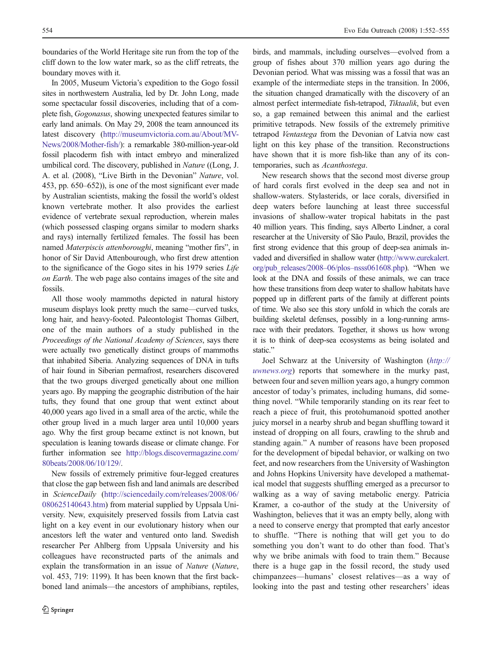boundaries of the World Heritage site run from the top of the cliff down to the low water mark, so as the cliff retreats, the boundary moves with it.

In 2005, Museum Victoria's expedition to the Gogo fossil sites in northwestern Australia, led by Dr. John Long, made some spectacular fossil discoveries, including that of a complete fish, Gogonasus, showing unexpected features similar to early land animals. On May 29, 2008 the team announced its latest discovery ([http://museumvictoria.com.au/About/MV-](http://museumvictoria.com.au/About/MV-News/2008/Mother-fish/)[News/2008/Mother-fish/](http://museumvictoria.com.au/About/MV-News/2008/Mother-fish/)): a remarkable 380-million-year-old fossil placoderm fish with intact embryo and mineralized umbilical cord. The discovery, published in Nature ((Long, J. A. et al. (2008), "Live Birth in the Devonian" Nature, vol. 453, pp. 650–652)), is one of the most significant ever made by Australian scientists, making the fossil the world's oldest known vertebrate mother. It also provides the earliest evidence of vertebrate sexual reproduction, wherein males (which possessed clasping organs similar to modern sharks and rays) internally fertilized females. The fossil has been named Materpiscis attenboroughi, meaning "mother firs", in honor of Sir David Attenbourough, who first drew attention to the significance of the Gogo sites in his 1979 series Life on Earth. The web page also contains images of the site and fossils.

All those wooly mammoths depicted in natural history museum displays look pretty much the same—curved tusks, long hair, and heavy-footed. Paleontologist Thomas Gilbert, one of the main authors of a study published in the Proceedings of the National Academy of Sciences, says there were actually two genetically distinct groups of mammoths that inhabited Siberia. Analyzing sequences of DNA in tufts of hair found in Siberian permafrost, researchers discovered that the two groups diverged genetically about one million years ago. By mapping the geographic distribution of the hair tufts, they found that one group that went extinct about 40,000 years ago lived in a small area of the arctic, while the other group lived in a much larger area until 10,000 years ago. Why the first group became extinct is not known, but speculation is leaning towards disease or climate change. For further information see [http://blogs.discovermagazine.com/](http://blogs.discovermagazine.com/80beats/2008/06/10/129/) [80beats/2008/06/10/129/](http://blogs.discovermagazine.com/80beats/2008/06/10/129/).

New fossils of extremely primitive four-legged creatures that close the gap between fish and land animals are described in ScienceDaily [\(http://sciencedaily.com/releases/2008/06/](http://sciencedaily.com/releases/2008/06/080625140643.htm) [080625140643.htm](http://sciencedaily.com/releases/2008/06/080625140643.htm)) from material supplied by Uppsala University. New, exquisitely preserved fossils from Latvia cast light on a key event in our evolutionary history when our ancestors left the water and ventured onto land. Swedish researcher Per Ahlberg from Uppsala University and his colleagues have reconstructed parts of the animals and explain the transformation in an issue of Nature (Nature, vol. 453, 719: 1199). It has been known that the first backboned land animals—the ancestors of amphibians, reptiles,

birds, and mammals, including ourselves—evolved from a group of fishes about 370 million years ago during the Devonian period. What was missing was a fossil that was an example of the intermediate steps in the transition. In 2006, the situation changed dramatically with the discovery of an almost perfect intermediate fish-tetrapod, Tiktaalik, but even so, a gap remained between this animal and the earliest primitive tetrapods. New fossils of the extremely primitive tetrapod Ventastega from the Devonian of Latvia now cast light on this key phase of the transition. Reconstructions have shown that it is more fish-like than any of its contemporaries, such as Acanthostega.

New research shows that the second most diverse group of hard corals first evolved in the deep sea and not in shallow-waters. Stylasterids, or lace corals, diversified in deep waters before launching at least three successful invasions of shallow-water tropical habitats in the past 40 million years. This finding, says Alberto Lindner, a coral researcher at the University of São Paulo, Brazil, provides the first strong evidence that this group of deep-sea animals invaded and diversified in shallow water ([http://www.eurekalert.](http://www.eurekalert.org/pub_releases/2008-06/plos-nsss061608.php) org/pub releases/2008–06/plos–nsss061608.php). "When we look at the DNA and fossils of these animals, we can trace how these transitions from deep water to shallow habitats have popped up in different parts of the family at different points of time. We also see this story unfold in which the corals are building skeletal defenses, possibly in a long-running armsrace with their predators. Together, it shows us how wrong it is to think of deep-sea ecosystems as being isolated and static."

Joel Schwarz at the University of Washington ([http://](http://uwnews.org) [uwnews.org](http://uwnews.org)) reports that somewhere in the murky past, between four and seven million years ago, a hungry common ancestor of today's primates, including humans, did something novel. "While temporarily standing on its rear feet to reach a piece of fruit, this protohumanoid spotted another juicy morsel in a nearby shrub and began shuffling toward it instead of dropping on all fours, crawling to the shrub and standing again." A number of reasons have been proposed for the development of bipedal behavior, or walking on two feet, and now researchers from the University of Washington and Johns Hopkins University have developed a mathematical model that suggests shuffling emerged as a precursor to walking as a way of saving metabolic energy. Patricia Kramer, a co-author of the study at the University of Washington, believes that it was an empty belly, along with a need to conserve energy that prompted that early ancestor to shuffle. "There is nothing that will get you to do something you don't want to do other than food. That's why we bribe animals with food to train them." Because there is a huge gap in the fossil record, the study used chimpanzees—humans' closest relatives—as a way of looking into the past and testing other researchers' ideas